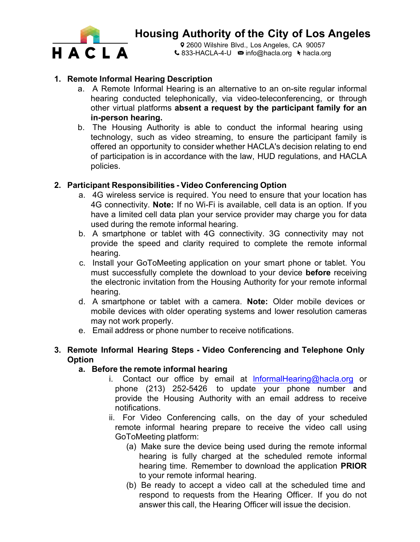

Q 2600 Wilshire Blvd., Los Angeles, CA 90057  $\triangle$  833-HACLA-4-U  $\approx$  [info@hacla.org](mailto:info@hacla.org)  $\blacktriangleright$  hacla.org

### **1. Remote Informal Hearing Description**

- a. A Remote Informal Hearing is an alternative to an on-site regular informal hearing conducted telephonically, via video-teleconferencing, or through other virtual platforms **absent a request by the participant family for an in-person hearing.**
- b. The Housing Authority is able to conduct the informal hearing using technology, such as video streaming, to ensure the participant family is offered an opportunity to consider whether HACLA's decision relating to end of participation is in accordance with the law, HUD regulations, and HACLA policies.

#### **2. Participant Responsibilities - Video Conferencing Option**

- a. 4G wireless service is required. You need to ensure that your location has 4G connectivity. **Note:** If no Wi-Fi is available, cell data is an option. If you have a limited cell data plan your service provider may charge you for data used during the remote informal hearing.
- b. A smartphone or tablet with 4G connectivity. 3G connectivity may not provide the speed and clarity required to complete the remote informal hearing.
- c. Install your GoToMeeting application on your smart phone or tablet. You must successfully complete the download to your device **before** receiving the electronic invitation from the Housing Authority for your remote informal hearing.
- d. A smartphone or tablet with a camera. **Note:** Older mobile devices or mobile devices with older operating systems and lower resolution cameras may not work properly.
- e. Email address or phone number to receive notifications.

#### **3. Remote Informal Hearing Steps - Video Conferencing and Telephone Only Option**

#### **a. Before the remote informal hearing**

- i. Contact our office by email at InformalHearing@hacla.org or phone (213) 252-5426 to update your phone number and provide the Housing Authority with an email address to receive notifications.
- ii. For Video Conferencing calls, on the day of your scheduled remote informal hearing prepare to receive the video call using GoToMeeting platform:
	- (a) Make sure the device being used during the remote informal hearing is fully charged at the scheduled remote informal hearing time. Remember to download the application **PRIOR** to your remote informal hearing.
	- (b) Be ready to accept a video call at the scheduled time and respond to requests from the Hearing Officer. If you do not answer this call, the Hearing Officer will issue the decision.